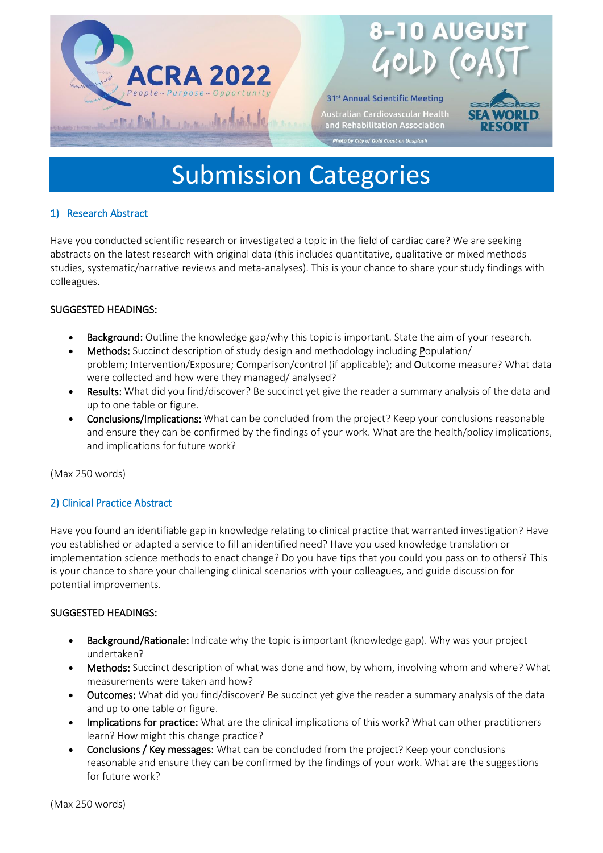



# Submission Categories

# 1) Research Abstract

Have you conducted scientific research or investigated a topic in the field of cardiac care? We are seeking abstracts on the latest research with original data (this includes quantitative, qualitative or mixed methods studies, systematic/narrative reviews and meta-analyses). This is your chance to share your study findings with colleagues.

# SUGGESTED HEADINGS:

- Background: Outline the knowledge gap/why this topic is important. State the aim of your research.
- Methods: Succinct description of study design and methodology including Population/ problem; Intervention/Exposure; Comparison/control (if applicable); and Outcome measure? What data were collected and how were they managed/ analysed?
- Results: What did you find/discover? Be succinct yet give the reader a summary analysis of the data and up to one table or figure.
- Conclusions/Implications: What can be concluded from the project? Keep your conclusions reasonable and ensure they can be confirmed by the findings of your work. What are the health/policy implications, and implications for future work?

(Max 250 words)

# 2) Clinical Practice Abstract

Have you found an identifiable gap in knowledge relating to clinical practice that warranted investigation? Have you established or adapted a service to fill an identified need? Have you used knowledge translation or implementation science methods to enact change? Do you have tips that you could you pass on to others? This is your chance to share your challenging clinical scenarios with your colleagues, and guide discussion for potential improvements.

# SUGGESTED HEADINGS:

- Background/Rationale: Indicate why the topic is important (knowledge gap). Why was your project undertaken?
- Methods: Succinct description of what was done and how, by whom, involving whom and where? What measurements were taken and how?
- Outcomes: What did you find/discover? Be succinct yet give the reader a summary analysis of the data and up to one table or figure.
- Implications for practice: What are the clinical implications of this work? What can other practitioners learn? How might this change practice?
- Conclusions / Key messages: What can be concluded from the project? Keep your conclusions reasonable and ensure they can be confirmed by the findings of your work. What are the suggestions for future work?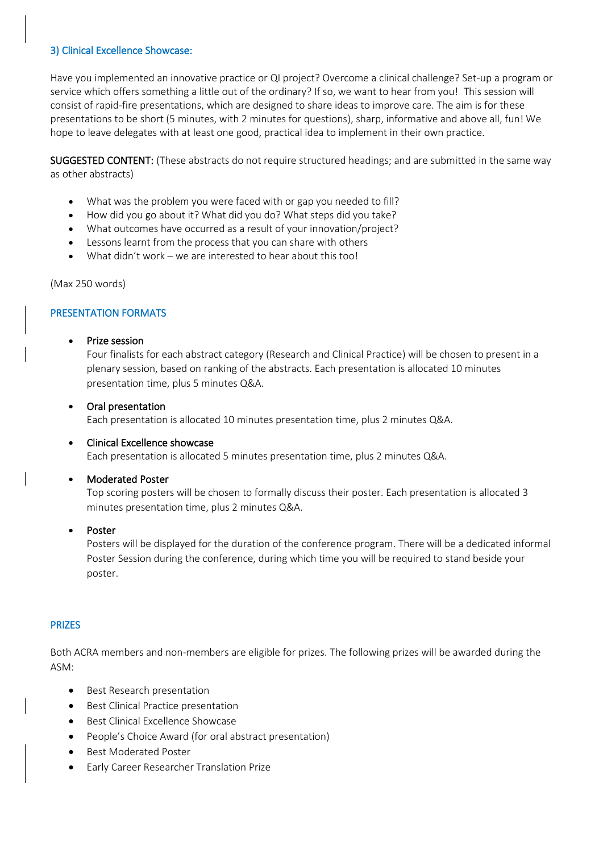# 3) Clinical Excellence Showcase:

Have you implemented an innovative practice or QI project? Overcome a clinical challenge? Set-up a program or service which offers something a little out of the ordinary? If so, we want to hear from you! This session will consist of rapid-fire presentations, which are designed to share ideas to improve care. The aim is for these presentations to be short (5 minutes, with 2 minutes for questions), sharp, informative and above all, fun! We hope to leave delegates with at least one good, practical idea to implement in their own practice.

SUGGESTED CONTENT: (These abstracts do not require structured headings; and are submitted in the same way as other abstracts)

- What was the problem you were faced with or gap you needed to fill?
- How did you go about it? What did you do? What steps did you take?
- What outcomes have occurred as a result of your innovation/project?
- Lessons learnt from the process that you can share with others
- What didn't work we are interested to hear about this too!

(Max 250 words)

# PRESENTATION FORMATS

## • Prize session

Four finalists for each abstract category (Research and Clinical Practice) will be chosen to present in a plenary session, based on ranking of the abstracts. Each presentation is allocated 10 minutes presentation time, plus 5 minutes Q&A.

## • Oral presentation

Each presentation is allocated 10 minutes presentation time, plus 2 minutes Q&A.

#### • Clinical Excellence showcase

Each presentation is allocated 5 minutes presentation time, plus 2 minutes Q&A.

#### • Moderated Poster

Top scoring posters will be chosen to formally discuss their poster. Each presentation is allocated 3 minutes presentation time, plus 2 minutes Q&A.

#### **Poster**

Posters will be displayed for the duration of the conference program. There will be a dedicated informal Poster Session during the conference, during which time you will be required to stand beside your poster.

#### PRIZES

Both ACRA members and non-members are eligible for prizes. The following prizes will be awarded during the ASM:

- Best Research presentation
- Best Clinical Practice presentation
- Best Clinical Excellence Showcase
- People's Choice Award (for oral abstract presentation)
- Best Moderated Poster
- Early Career Researcher Translation Prize